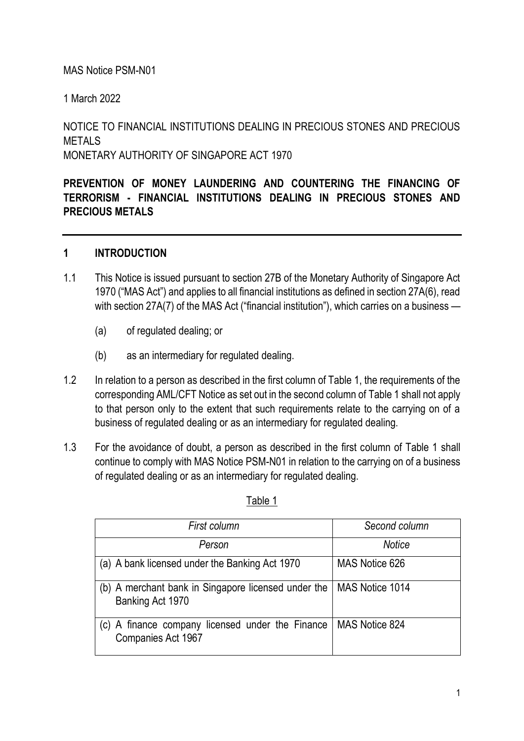### MAS Notice PSM-N01

1 March 2022

NOTICE TO FINANCIAL INSTITUTIONS DEALING IN PRECIOUS STONES AND PRECIOUS **METALS** MONETARY AUTHORITY OF SINGAPORE ACT 1970

**PREVENTION OF MONEY LAUNDERING AND COUNTERING THE FINANCING OF TERRORISM - FINANCIAL INSTITUTIONS DEALING IN PRECIOUS STONES AND PRECIOUS METALS**

#### **1 INTRODUCTION**

- 1.1 This Notice is issued pursuant to section 27B of the Monetary Authority of Singapore Act 1970 ("MAS Act") and applies to all financial institutions as defined in section 27A(6), read with section 27A(7) of the MAS Act ("financial institution"), which carries on a business —
	- (a) of regulated dealing; or
	- (b) as an intermediary for regulated dealing.
- 1.2 In relation to a person as described in the first column of Table 1, the requirements of the corresponding AML/CFT Notice as set out in the second column of Table 1 shall not apply to that person only to the extent that such requirements relate to the carrying on of a business of regulated dealing or as an intermediary for regulated dealing.
- 1.3 For the avoidance of doubt, a person as described in the first column of Table 1 shall continue to comply with MAS Notice PSM-N01 in relation to the carrying on of a business of regulated dealing or as an intermediary for regulated dealing.

| First column                                                              | Second column   |
|---------------------------------------------------------------------------|-----------------|
| Person                                                                    | Notice          |
| (a) A bank licensed under the Banking Act 1970                            | MAS Notice 626  |
| (b) A merchant bank in Singapore licensed under the<br>Banking Act 1970   | MAS Notice 1014 |
| A finance company licensed under the Finance<br>(C)<br>Companies Act 1967 | MAS Notice 824  |

#### Table 1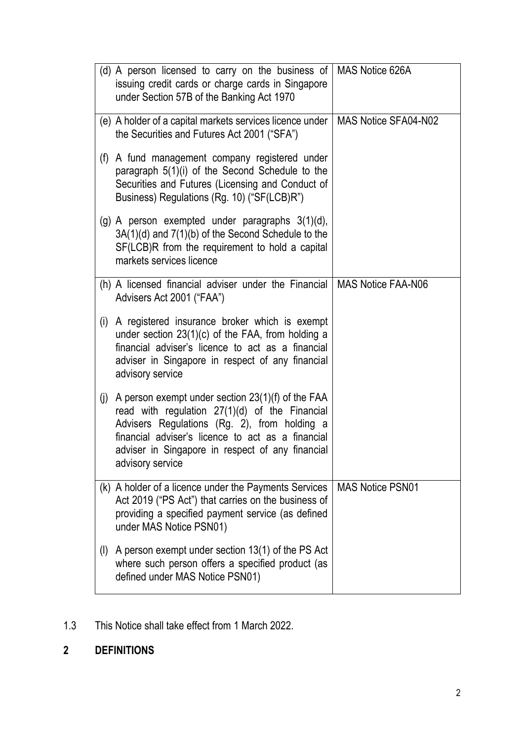|     | (d) A person licensed to carry on the business of<br>issuing credit cards or charge cards in Singapore<br>under Section 57B of the Banking Act 1970                                                                                                                                | MAS Notice 626A         |
|-----|------------------------------------------------------------------------------------------------------------------------------------------------------------------------------------------------------------------------------------------------------------------------------------|-------------------------|
|     | (e) A holder of a capital markets services licence under<br>the Securities and Futures Act 2001 ("SFA")                                                                                                                                                                            | MAS Notice SFA04-N02    |
| (f) | A fund management company registered under<br>paragraph 5(1)(i) of the Second Schedule to the<br>Securities and Futures (Licensing and Conduct of<br>Business) Regulations (Rg. 10) ("SF(LCB)R")                                                                                   |                         |
|     | (g) A person exempted under paragraphs $3(1)(d)$ ,<br>$3A(1)(d)$ and $7(1)(b)$ of the Second Schedule to the<br>SF(LCB)R from the requirement to hold a capital<br>markets services licence                                                                                        |                         |
|     | (h) A licensed financial adviser under the Financial   MAS Notice FAA-N06<br>Advisers Act 2001 ("FAA")                                                                                                                                                                             |                         |
| (i) | A registered insurance broker which is exempt<br>under section $23(1)(c)$ of the FAA, from holding a<br>financial adviser's licence to act as a financial<br>adviser in Singapore in respect of any financial<br>advisory service                                                  |                         |
| (j) | A person exempt under section $23(1)(f)$ of the FAA<br>read with regulation 27(1)(d) of the Financial<br>Advisers Regulations (Rg. 2), from holding a<br>financial adviser's licence to act as a financial<br>adviser in Singapore in respect of any financial<br>advisory service |                         |
|     | (k) A holder of a licence under the Payments Services<br>Act 2019 ("PS Act") that carries on the business of<br>providing a specified payment service (as defined<br>under MAS Notice PSN01)                                                                                       | <b>MAS Notice PSN01</b> |
| (1) | A person exempt under section 13(1) of the PS Act<br>where such person offers a specified product (as<br>defined under MAS Notice PSN01)                                                                                                                                           |                         |

1.3 This Notice shall take effect from 1 March 2022.

# **2 DEFINITIONS**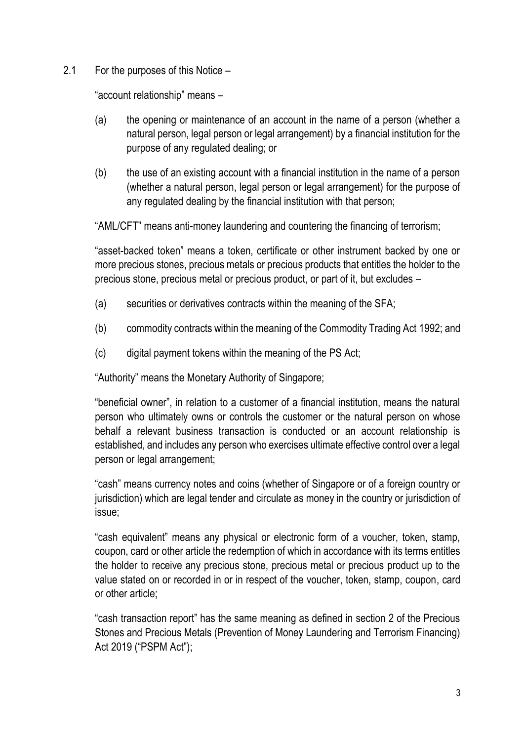2.1 For the purposes of this Notice –

"account relationship" means –

- (a) the opening or maintenance of an account in the name of a person (whether a natural person, legal person or legal arrangement) by a financial institution for the purpose of any regulated dealing; or
- (b) the use of an existing account with a financial institution in the name of a person (whether a natural person, legal person or legal arrangement) for the purpose of any regulated dealing by the financial institution with that person;

"AML/CFT" means anti-money laundering and countering the financing of terrorism;

"asset-backed token" means a token, certificate or other instrument backed by one or more precious stones, precious metals or precious products that entitles the holder to the precious stone, precious metal or precious product, or part of it, but excludes –

- (a) securities or derivatives contracts within the meaning of the SFA;
- (b) commodity contracts within the meaning of the Commodity Trading Act 1992; and
- (c) digital payment tokens within the meaning of the PS Act;

"Authority" means the Monetary Authority of Singapore;

"beneficial owner", in relation to a customer of a financial institution, means the natural person who ultimately owns or controls the customer or the natural person on whose behalf a relevant business transaction is conducted or an account relationship is established, and includes any person who exercises ultimate effective control over a legal person or legal arrangement;

"cash" means currency notes and coins (whether of Singapore or of a foreign country or jurisdiction) which are legal tender and circulate as money in the country or jurisdiction of issue;

"cash equivalent" means any physical or electronic form of a voucher, token, stamp, coupon, card or other article the redemption of which in accordance with its terms entitles the holder to receive any precious stone, precious metal or precious product up to the value stated on or recorded in or in respect of the voucher, token, stamp, coupon, card or other article;

"cash transaction report" has the same meaning as defined in section 2 of the Precious Stones and Precious Metals (Prevention of Money Laundering and Terrorism Financing) Act 2019 ("PSPM Act");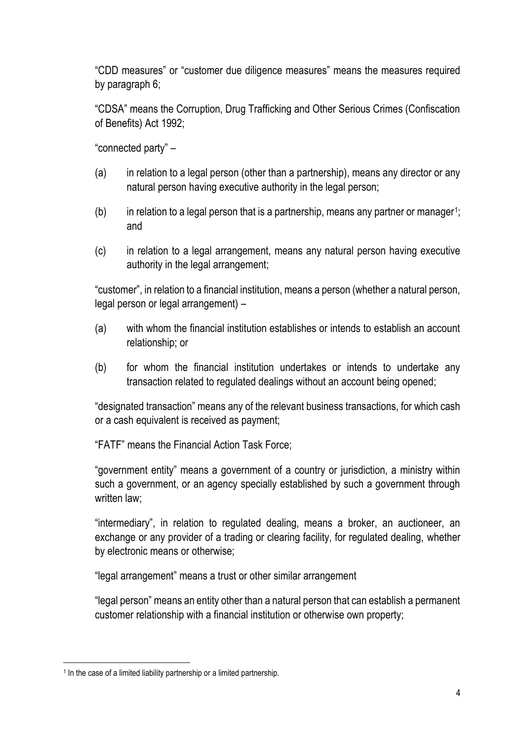"CDD measures" or "customer due diligence measures" means the measures required by paragraph 6;

"CDSA" means the Corruption, Drug Trafficking and Other Serious Crimes (Confiscation of Benefits) Act 1992;

"connected party" –

- (a) in relation to a legal person (other than a partnership), means any director or any natural person having executive authority in the legal person;
- $(b)$  in relation to a legal person that is a partnership, means any partner or manager<sup>1</sup>; and
- (c) in relation to a legal arrangement, means any natural person having executive authority in the legal arrangement;

"customer", in relation to a financial institution, means a person (whether a natural person, legal person or legal arrangement) –

- (a) with whom the financial institution establishes or intends to establish an account relationship; or
- (b) for whom the financial institution undertakes or intends to undertake any transaction related to regulated dealings without an account being opened;

"designated transaction" means any of the relevant business transactions, for which cash or a cash equivalent is received as payment;

"FATF" means the Financial Action Task Force;

"government entity" means a government of a country or jurisdiction, a ministry within such a government, or an agency specially established by such a government through written law:

"intermediary", in relation to regulated dealing, means a broker, an auctioneer, an exchange or any provider of a trading or clearing facility, for regulated dealing, whether by electronic means or otherwise;

"legal arrangement" means a trust or other similar arrangement

"legal person" means an entity other than a natural person that can establish a permanent customer relationship with a financial institution or otherwise own property;

<sup>&</sup>lt;sup>1</sup> In the case of a limited liability partnership or a limited partnership.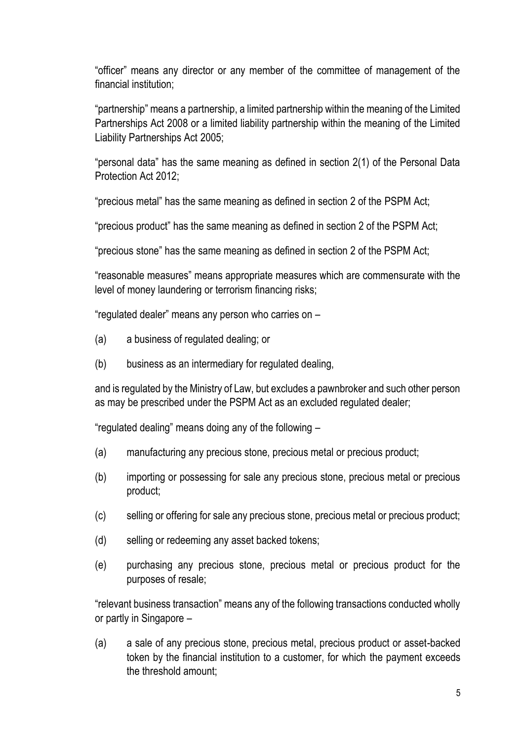"officer" means any director or any member of the committee of management of the financial institution;

"partnership" means a partnership, a limited partnership within the meaning of the Limited Partnerships Act 2008 or a limited liability partnership within the meaning of the Limited Liability Partnerships Act 2005;

"personal data" has the same meaning as defined in section 2(1) of the Personal Data Protection Act 2012;

"precious metal" has the same meaning as defined in section 2 of the PSPM Act;

"precious product" has the same meaning as defined in section 2 of the PSPM Act;

"precious stone" has the same meaning as defined in section 2 of the PSPM Act;

"reasonable measures" means appropriate measures which are commensurate with the level of money laundering or terrorism financing risks;

"regulated dealer" means any person who carries on –

- (a) a business of regulated dealing; or
- (b) business as an intermediary for regulated dealing,

and is regulated by the Ministry of Law, but excludes a pawnbroker and such other person as may be prescribed under the PSPM Act as an excluded regulated dealer;

"regulated dealing" means doing any of the following –

- (a) manufacturing any precious stone, precious metal or precious product;
- (b) importing or possessing for sale any precious stone, precious metal or precious product;
- (c) selling or offering for sale any precious stone, precious metal or precious product;
- (d) selling or redeeming any asset backed tokens;
- (e) purchasing any precious stone, precious metal or precious product for the purposes of resale;

"relevant business transaction" means any of the following transactions conducted wholly or partly in Singapore –

(a) a sale of any precious stone, precious metal, precious product or asset-backed token by the financial institution to a customer, for which the payment exceeds the threshold amount;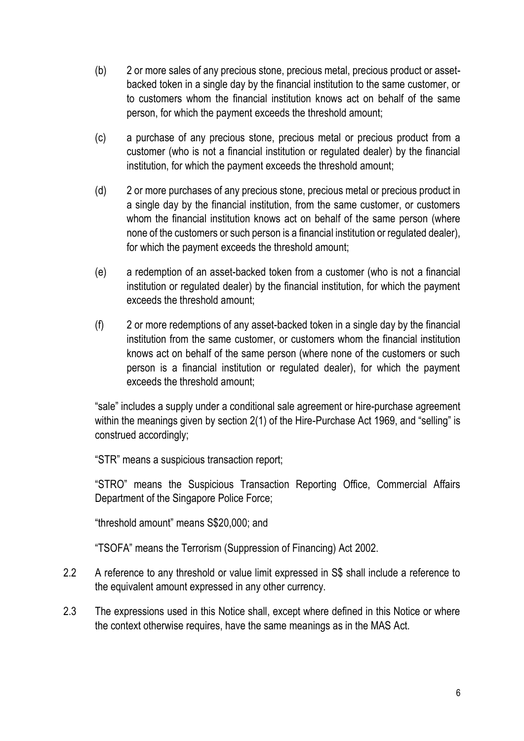- (b) 2 or more sales of any precious stone, precious metal, precious product or assetbacked token in a single day by the financial institution to the same customer, or to customers whom the financial institution knows act on behalf of the same person, for which the payment exceeds the threshold amount;
- (c) a purchase of any precious stone, precious metal or precious product from a customer (who is not a financial institution or regulated dealer) by the financial institution, for which the payment exceeds the threshold amount;
- (d) 2 or more purchases of any precious stone, precious metal or precious product in a single day by the financial institution, from the same customer, or customers whom the financial institution knows act on behalf of the same person (where none of the customers or such person is a financial institution or regulated dealer), for which the payment exceeds the threshold amount;
- (e) a redemption of an asset-backed token from a customer (who is not a financial institution or regulated dealer) by the financial institution, for which the payment exceeds the threshold amount;
- (f) 2 or more redemptions of any asset-backed token in a single day by the financial institution from the same customer, or customers whom the financial institution knows act on behalf of the same person (where none of the customers or such person is a financial institution or regulated dealer), for which the payment exceeds the threshold amount;

"sale" includes a supply under a conditional sale agreement or hire-purchase agreement within the meanings given by section 2(1) of the Hire-Purchase Act 1969, and "selling" is construed accordingly;

"STR" means a suspicious transaction report;

"STRO" means the Suspicious Transaction Reporting Office, Commercial Affairs Department of the Singapore Police Force;

"threshold amount" means S\$20,000; and

"TSOFA" means the Terrorism (Suppression of Financing) Act 2002.

- 2.2 A reference to any threshold or value limit expressed in S\$ shall include a reference to the equivalent amount expressed in any other currency.
- 2.3 The expressions used in this Notice shall, except where defined in this Notice or where the context otherwise requires, have the same meanings as in the MAS Act.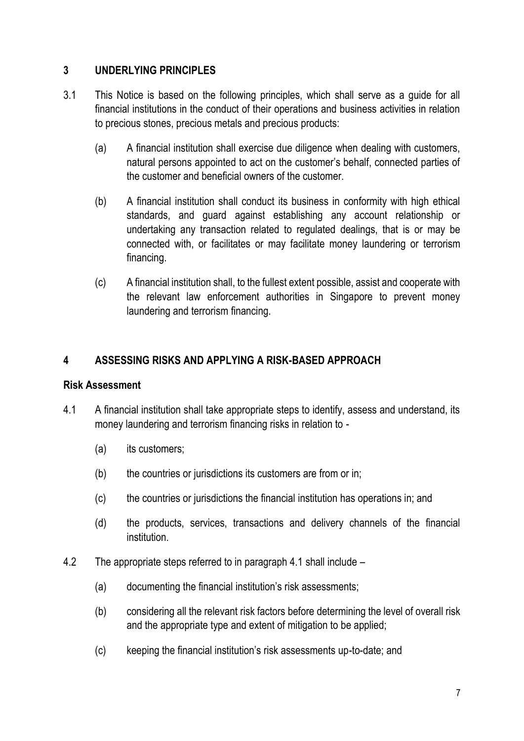# **3 UNDERLYING PRINCIPLES**

- 3.1 This Notice is based on the following principles, which shall serve as a guide for all financial institutions in the conduct of their operations and business activities in relation to precious stones, precious metals and precious products:
	- (a) A financial institution shall exercise due diligence when dealing with customers, natural persons appointed to act on the customer's behalf, connected parties of the customer and beneficial owners of the customer.
	- (b) A financial institution shall conduct its business in conformity with high ethical standards, and guard against establishing any account relationship or undertaking any transaction related to regulated dealings, that is or may be connected with, or facilitates or may facilitate money laundering or terrorism financing.
	- (c) A financial institution shall, to the fullest extent possible, assist and cooperate with the relevant law enforcement authorities in Singapore to prevent money laundering and terrorism financing.

# **4 ASSESSING RISKS AND APPLYING A RISK-BASED APPROACH**

# **Risk Assessment**

- 4.1 A financial institution shall take appropriate steps to identify, assess and understand, its money laundering and terrorism financing risks in relation to -
	- (a) its customers;
	- (b) the countries or jurisdictions its customers are from or in;
	- (c) the countries or jurisdictions the financial institution has operations in; and
	- (d) the products, services, transactions and delivery channels of the financial institution.
- 4.2 The appropriate steps referred to in paragraph 4.1 shall include
	- (a) documenting the financial institution's risk assessments;
	- (b) considering all the relevant risk factors before determining the level of overall risk and the appropriate type and extent of mitigation to be applied;
	- (c) keeping the financial institution's risk assessments up-to-date; and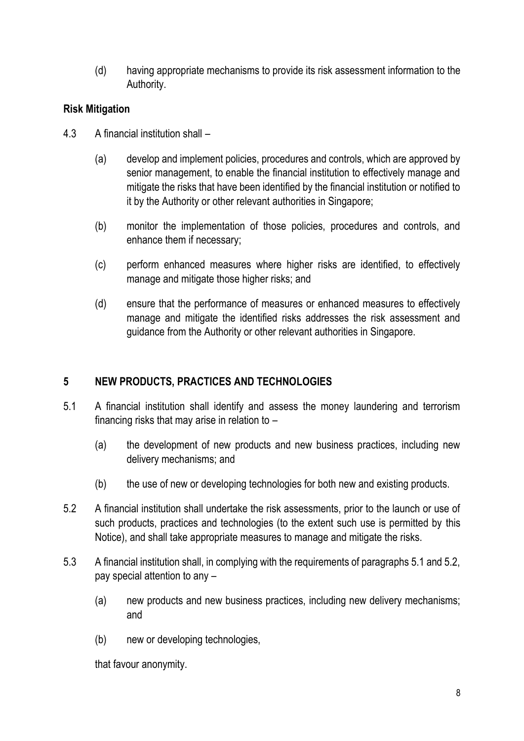(d) having appropriate mechanisms to provide its risk assessment information to the Authority.

# **Risk Mitigation**

- 4.3 A financial institution shall
	- (a) develop and implement policies, procedures and controls, which are approved by senior management, to enable the financial institution to effectively manage and mitigate the risks that have been identified by the financial institution or notified to it by the Authority or other relevant authorities in Singapore;
	- (b) monitor the implementation of those policies, procedures and controls, and enhance them if necessary;
	- (c) perform enhanced measures where higher risks are identified, to effectively manage and mitigate those higher risks; and
	- (d) ensure that the performance of measures or enhanced measures to effectively manage and mitigate the identified risks addresses the risk assessment and guidance from the Authority or other relevant authorities in Singapore.

# **5 NEW PRODUCTS, PRACTICES AND TECHNOLOGIES**

- 5.1 A financial institution shall identify and assess the money laundering and terrorism financing risks that may arise in relation to –
	- (a) the development of new products and new business practices, including new delivery mechanisms; and
	- (b) the use of new or developing technologies for both new and existing products.
- 5.2 A financial institution shall undertake the risk assessments, prior to the launch or use of such products, practices and technologies (to the extent such use is permitted by this Notice), and shall take appropriate measures to manage and mitigate the risks.
- 5.3 A financial institution shall, in complying with the requirements of paragraphs 5.1 and 5.2, pay special attention to any –
	- (a) new products and new business practices, including new delivery mechanisms; and
	- (b) new or developing technologies,

that favour anonymity.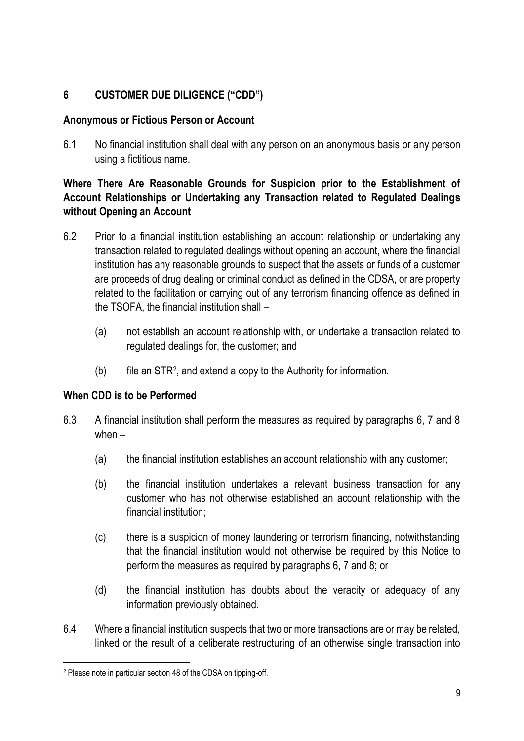# **6 CUSTOMER DUE DILIGENCE ("CDD")**

# **Anonymous or Fictious Person or Account**

6.1 No financial institution shall deal with any person on an anonymous basis or any person using a fictitious name.

# **Where There Are Reasonable Grounds for Suspicion prior to the Establishment of Account Relationships or Undertaking any Transaction related to Regulated Dealings without Opening an Account**

- 6.2 Prior to a financial institution establishing an account relationship or undertaking any transaction related to regulated dealings without opening an account, where the financial institution has any reasonable grounds to suspect that the assets or funds of a customer are proceeds of drug dealing or criminal conduct as defined in the CDSA, or are property related to the facilitation or carrying out of any terrorism financing offence as defined in the TSOFA, the financial institution shall –
	- (a) not establish an account relationship with, or undertake a transaction related to regulated dealings for, the customer; and
	- (b) file an STR<sup>2</sup> , and extend a copy to the Authority for information.

# **When CDD is to be Performed**

- 6.3 A financial institution shall perform the measures as required by paragraphs 6, 7 and 8 when –
	- (a) the financial institution establishes an account relationship with any customer;
	- (b) the financial institution undertakes a relevant business transaction for any customer who has not otherwise established an account relationship with the financial institution;
	- (c) there is a suspicion of money laundering or terrorism financing, notwithstanding that the financial institution would not otherwise be required by this Notice to perform the measures as required by paragraphs 6, 7 and 8; or
	- (d) the financial institution has doubts about the veracity or adequacy of any information previously obtained.
- 6.4 Where a financial institution suspects that two or more transactions are or may be related, linked or the result of a deliberate restructuring of an otherwise single transaction into

<sup>2</sup> Please note in particular section 48 of the CDSA on tipping-off.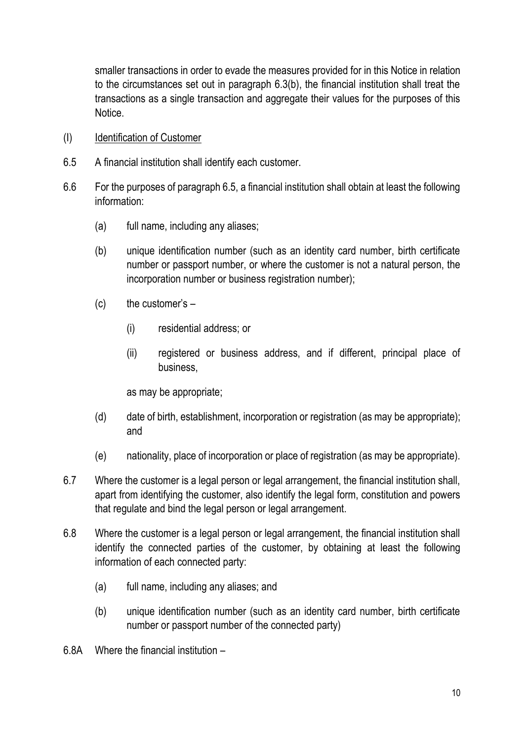smaller transactions in order to evade the measures provided for in this Notice in relation to the circumstances set out in paragraph 6.3(b), the financial institution shall treat the transactions as a single transaction and aggregate their values for the purposes of this Notice.

- (I) Identification of Customer
- 6.5 A financial institution shall identify each customer.
- 6.6 For the purposes of paragraph 6.5, a financial institution shall obtain at least the following information:
	- (a) full name, including any aliases;
	- (b) unique identification number (such as an identity card number, birth certificate number or passport number, or where the customer is not a natural person, the incorporation number or business registration number);
	- $(c)$  the customer's  $-$ 
		- (i) residential address; or
		- (ii) registered or business address, and if different, principal place of business,

as may be appropriate;

- (d) date of birth, establishment, incorporation or registration (as may be appropriate); and
- (e) nationality, place of incorporation or place of registration (as may be appropriate).
- 6.7 Where the customer is a legal person or legal arrangement, the financial institution shall, apart from identifying the customer, also identify the legal form, constitution and powers that regulate and bind the legal person or legal arrangement.
- 6.8 Where the customer is a legal person or legal arrangement, the financial institution shall identify the connected parties of the customer, by obtaining at least the following information of each connected party:
	- (a) full name, including any aliases; and
	- (b) unique identification number (such as an identity card number, birth certificate number or passport number of the connected party)
- 6.8A Where the financial institution –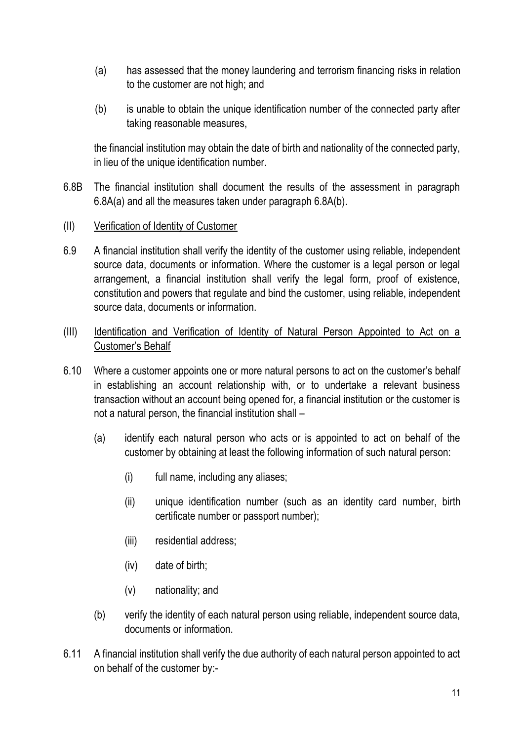- (a) has assessed that the money laundering and terrorism financing risks in relation to the customer are not high; and
- (b) is unable to obtain the unique identification number of the connected party after taking reasonable measures,

the financial institution may obtain the date of birth and nationality of the connected party, in lieu of the unique identification number.

- 6.8B The financial institution shall document the results of the assessment in paragraph 6.8A(a) and all the measures taken under paragraph 6.8A(b).
- (II) Verification of Identity of Customer
- 6.9 A financial institution shall verify the identity of the customer using reliable, independent source data, documents or information. Where the customer is a legal person or legal arrangement, a financial institution shall verify the legal form, proof of existence, constitution and powers that regulate and bind the customer, using reliable, independent source data, documents or information.
- (III) Identification and Verification of Identity of Natural Person Appointed to Act on a Customer's Behalf
- 6.10 Where a customer appoints one or more natural persons to act on the customer's behalf in establishing an account relationship with, or to undertake a relevant business transaction without an account being opened for, a financial institution or the customer is not a natural person, the financial institution shall –
	- (a) identify each natural person who acts or is appointed to act on behalf of the customer by obtaining at least the following information of such natural person:
		- (i) full name, including any aliases;
		- (ii) unique identification number (such as an identity card number, birth certificate number or passport number);
		- (iii) residential address;
		- (iv) date of birth;
		- (v) nationality; and
	- (b) verify the identity of each natural person using reliable, independent source data, documents or information.
- 6.11 A financial institution shall verify the due authority of each natural person appointed to act on behalf of the customer by:-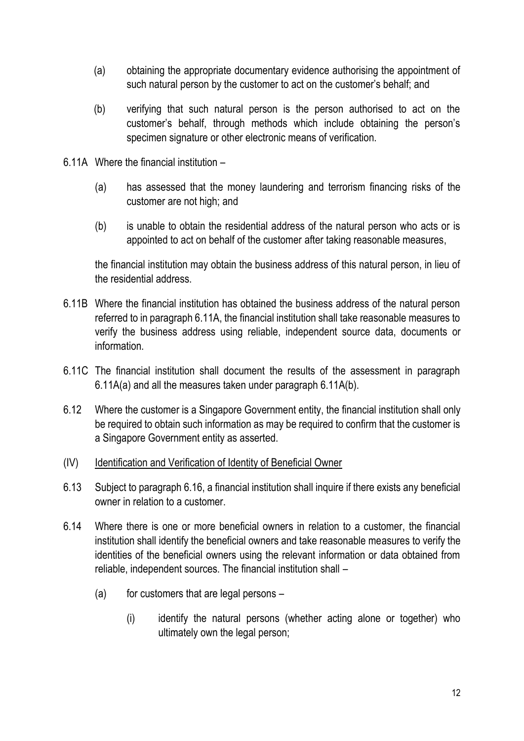- (a) obtaining the appropriate documentary evidence authorising the appointment of such natural person by the customer to act on the customer's behalf; and
- (b) verifying that such natural person is the person authorised to act on the customer's behalf, through methods which include obtaining the person's specimen signature or other electronic means of verification.
- 6.11A Where the financial institution
	- (a) has assessed that the money laundering and terrorism financing risks of the customer are not high; and
	- (b) is unable to obtain the residential address of the natural person who acts or is appointed to act on behalf of the customer after taking reasonable measures,

the financial institution may obtain the business address of this natural person, in lieu of the residential address.

- 6.11B Where the financial institution has obtained the business address of the natural person referred to in paragraph 6.11A, the financial institution shall take reasonable measures to verify the business address using reliable, independent source data, documents or information.
- 6.11C The financial institution shall document the results of the assessment in paragraph 6.11A(a) and all the measures taken under paragraph 6.11A(b).
- 6.12 Where the customer is a Singapore Government entity, the financial institution shall only be required to obtain such information as may be required to confirm that the customer is a Singapore Government entity as asserted.
- (IV) Identification and Verification of Identity of Beneficial Owner
- 6.13 Subject to paragraph 6.16, a financial institution shall inquire if there exists any beneficial owner in relation to a customer.
- 6.14 Where there is one or more beneficial owners in relation to a customer, the financial institution shall identify the beneficial owners and take reasonable measures to verify the identities of the beneficial owners using the relevant information or data obtained from reliable, independent sources. The financial institution shall –
	- $(a)$  for customers that are legal persons
		- (i) identify the natural persons (whether acting alone or together) who ultimately own the legal person;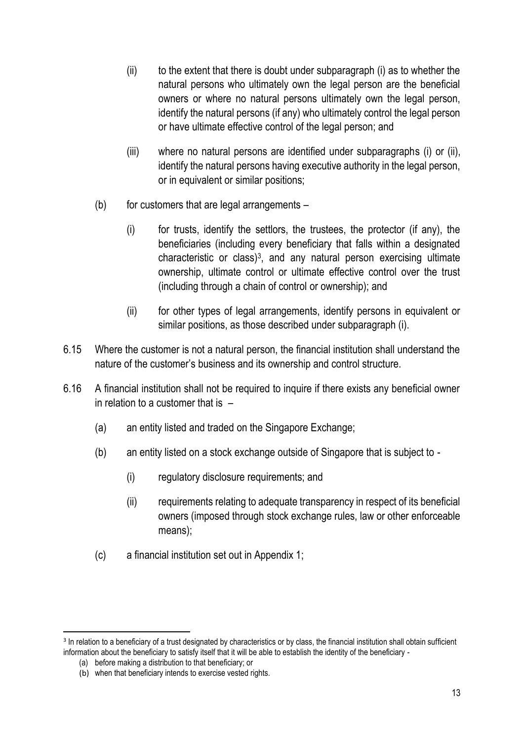- (ii) to the extent that there is doubt under subparagraph (i) as to whether the natural persons who ultimately own the legal person are the beneficial owners or where no natural persons ultimately own the legal person, identify the natural persons (if any) who ultimately control the legal person or have ultimate effective control of the legal person; and
- (iii) where no natural persons are identified under subparagraphs (i) or (ii), identify the natural persons having executive authority in the legal person, or in equivalent or similar positions;
- $(b)$  for customers that are legal arrangements
	- (i) for trusts, identify the settlors, the trustees, the protector (if any), the beneficiaries (including every beneficiary that falls within a designated characteristic or class)<sup>3</sup> , and any natural person exercising ultimate ownership, ultimate control or ultimate effective control over the trust (including through a chain of control or ownership); and
	- (ii) for other types of legal arrangements, identify persons in equivalent or similar positions, as those described under subparagraph (i).
- 6.15 Where the customer is not a natural person, the financial institution shall understand the nature of the customer's business and its ownership and control structure.
- 6.16 A financial institution shall not be required to inquire if there exists any beneficial owner in relation to a customer that is –
	- (a) an entity listed and traded on the Singapore Exchange;
	- (b) an entity listed on a stock exchange outside of Singapore that is subject to
		- (i) regulatory disclosure requirements; and
		- (ii) requirements relating to adequate transparency in respect of its beneficial owners (imposed through stock exchange rules, law or other enforceable means);
	- (c) a financial institution set out in Appendix 1;

<sup>&</sup>lt;sup>3</sup> In relation to a beneficiary of a trust designated by characteristics or by class, the financial institution shall obtain sufficient information about the beneficiary to satisfy itself that it will be able to establish the identity of the beneficiary -

<sup>(</sup>a) before making a distribution to that beneficiary; or

<sup>(</sup>b) when that beneficiary intends to exercise vested rights.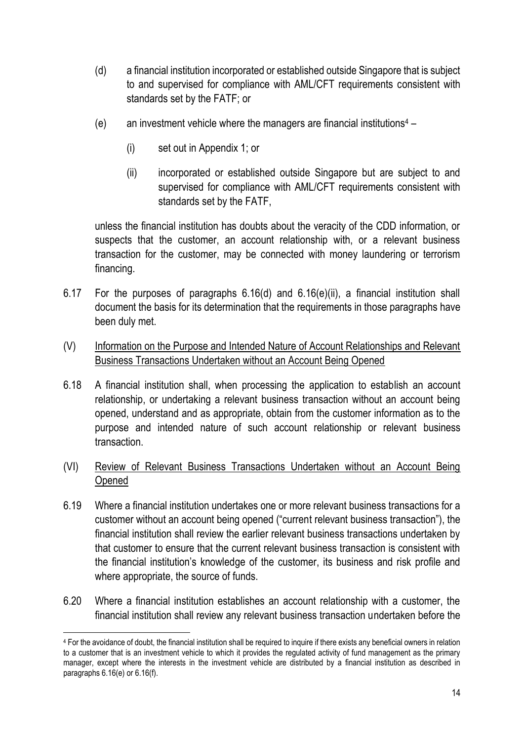- (d) a financial institution incorporated or established outside Singapore that is subject to and supervised for compliance with AML/CFT requirements consistent with standards set by the FATF; or
- (e) an investment vehicle where the managers are financial institutions<sup>4</sup>
	- (i) set out in Appendix 1; or
	- (ii) incorporated or established outside Singapore but are subject to and supervised for compliance with AML/CFT requirements consistent with standards set by the FATF,

unless the financial institution has doubts about the veracity of the CDD information, or suspects that the customer, an account relationship with, or a relevant business transaction for the customer, may be connected with money laundering or terrorism financing.

- 6.17 For the purposes of paragraphs 6.16(d) and 6.16(e)(ii), a financial institution shall document the basis for its determination that the requirements in those paragraphs have been duly met.
- (V) Information on the Purpose and Intended Nature of Account Relationships and Relevant Business Transactions Undertaken without an Account Being Opened
- 6.18 A financial institution shall, when processing the application to establish an account relationship, or undertaking a relevant business transaction without an account being opened, understand and as appropriate, obtain from the customer information as to the purpose and intended nature of such account relationship or relevant business transaction.
- (VI) Review of Relevant Business Transactions Undertaken without an Account Being Opened
- 6.19 Where a financial institution undertakes one or more relevant business transactions for a customer without an account being opened ("current relevant business transaction"), the financial institution shall review the earlier relevant business transactions undertaken by that customer to ensure that the current relevant business transaction is consistent with the financial institution's knowledge of the customer, its business and risk profile and where appropriate, the source of funds.
- 6.20 Where a financial institution establishes an account relationship with a customer, the financial institution shall review any relevant business transaction undertaken before the

<sup>4</sup> For the avoidance of doubt, the financial institution shall be required to inquire if there exists any beneficial owners in relation to a customer that is an investment vehicle to which it provides the regulated activity of fund management as the primary manager, except where the interests in the investment vehicle are distributed by a financial institution as described in paragraphs 6.16(e) or 6.16(f).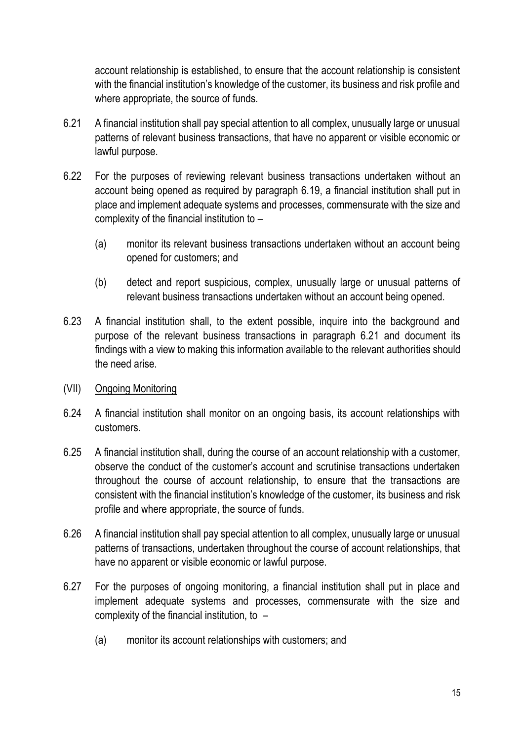account relationship is established, to ensure that the account relationship is consistent with the financial institution's knowledge of the customer, its business and risk profile and where appropriate, the source of funds.

- 6.21 A financial institution shall pay special attention to all complex, unusually large or unusual patterns of relevant business transactions, that have no apparent or visible economic or lawful purpose.
- 6.22 For the purposes of reviewing relevant business transactions undertaken without an account being opened as required by paragraph 6.19, a financial institution shall put in place and implement adequate systems and processes, commensurate with the size and complexity of the financial institution to –
	- (a) monitor its relevant business transactions undertaken without an account being opened for customers; and
	- (b) detect and report suspicious, complex, unusually large or unusual patterns of relevant business transactions undertaken without an account being opened.
- 6.23 A financial institution shall, to the extent possible, inquire into the background and purpose of the relevant business transactions in paragraph 6.21 and document its findings with a view to making this information available to the relevant authorities should the need arise.
- (VII) Ongoing Monitoring
- 6.24 A financial institution shall monitor on an ongoing basis, its account relationships with customers.
- 6.25 A financial institution shall, during the course of an account relationship with a customer, observe the conduct of the customer's account and scrutinise transactions undertaken throughout the course of account relationship, to ensure that the transactions are consistent with the financial institution's knowledge of the customer, its business and risk profile and where appropriate, the source of funds.
- 6.26 A financial institution shall pay special attention to all complex, unusually large or unusual patterns of transactions, undertaken throughout the course of account relationships, that have no apparent or visible economic or lawful purpose.
- 6.27 For the purposes of ongoing monitoring, a financial institution shall put in place and implement adequate systems and processes, commensurate with the size and complexity of the financial institution, to –
	- (a) monitor its account relationships with customers; and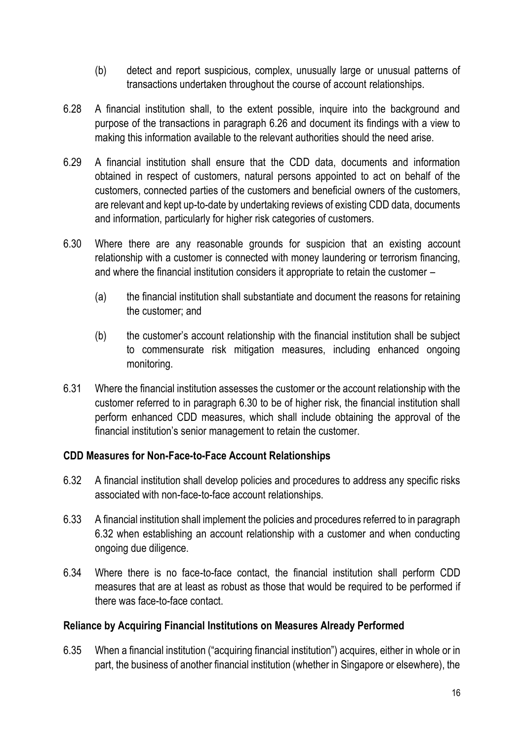- (b) detect and report suspicious, complex, unusually large or unusual patterns of transactions undertaken throughout the course of account relationships.
- 6.28 A financial institution shall, to the extent possible, inquire into the background and purpose of the transactions in paragraph 6.26 and document its findings with a view to making this information available to the relevant authorities should the need arise.
- 6.29 A financial institution shall ensure that the CDD data, documents and information obtained in respect of customers, natural persons appointed to act on behalf of the customers, connected parties of the customers and beneficial owners of the customers, are relevant and kept up-to-date by undertaking reviews of existing CDD data, documents and information, particularly for higher risk categories of customers.
- 6.30 Where there are any reasonable grounds for suspicion that an existing account relationship with a customer is connected with money laundering or terrorism financing, and where the financial institution considers it appropriate to retain the customer –
	- (a) the financial institution shall substantiate and document the reasons for retaining the customer; and
	- (b) the customer's account relationship with the financial institution shall be subject to commensurate risk mitigation measures, including enhanced ongoing monitoring.
- 6.31 Where the financial institution assesses the customer or the account relationship with the customer referred to in paragraph 6.30 to be of higher risk, the financial institution shall perform enhanced CDD measures, which shall include obtaining the approval of the financial institution's senior management to retain the customer.

# **CDD Measures for Non-Face-to-Face Account Relationships**

- 6.32 A financial institution shall develop policies and procedures to address any specific risks associated with non-face-to-face account relationships.
- 6.33 A financial institution shall implement the policies and procedures referred to in paragraph 6.32 when establishing an account relationship with a customer and when conducting ongoing due diligence.
- 6.34 Where there is no face-to-face contact, the financial institution shall perform CDD measures that are at least as robust as those that would be required to be performed if there was face-to-face contact.

#### **Reliance by Acquiring Financial Institutions on Measures Already Performed**

6.35 When a financial institution ("acquiring financial institution") acquires, either in whole or in part, the business of another financial institution (whether in Singapore or elsewhere), the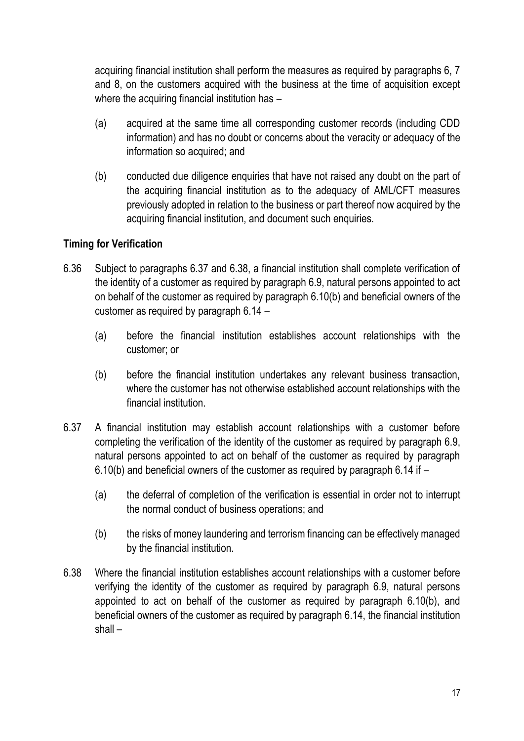acquiring financial institution shall perform the measures as required by paragraphs 6, 7 and 8, on the customers acquired with the business at the time of acquisition except where the acquiring financial institution has -

- (a) acquired at the same time all corresponding customer records (including CDD information) and has no doubt or concerns about the veracity or adequacy of the information so acquired; and
- (b) conducted due diligence enquiries that have not raised any doubt on the part of the acquiring financial institution as to the adequacy of AML/CFT measures previously adopted in relation to the business or part thereof now acquired by the acquiring financial institution, and document such enquiries.

# **Timing for Verification**

- 6.36 Subject to paragraphs 6.37 and 6.38, a financial institution shall complete verification of the identity of a customer as required by paragraph 6.9, natural persons appointed to act on behalf of the customer as required by paragraph 6.10(b) and beneficial owners of the customer as required by paragraph 6.14 –
	- (a) before the financial institution establishes account relationships with the customer; or
	- (b) before the financial institution undertakes any relevant business transaction, where the customer has not otherwise established account relationships with the financial institution.
- 6.37 A financial institution may establish account relationships with a customer before completing the verification of the identity of the customer as required by paragraph 6.9, natural persons appointed to act on behalf of the customer as required by paragraph 6.10(b) and beneficial owners of the customer as required by paragraph 6.14 if –
	- (a) the deferral of completion of the verification is essential in order not to interrupt the normal conduct of business operations; and
	- (b) the risks of money laundering and terrorism financing can be effectively managed by the financial institution.
- 6.38 Where the financial institution establishes account relationships with a customer before verifying the identity of the customer as required by paragraph 6.9, natural persons appointed to act on behalf of the customer as required by paragraph 6.10(b), and beneficial owners of the customer as required by paragraph 6.14, the financial institution shall –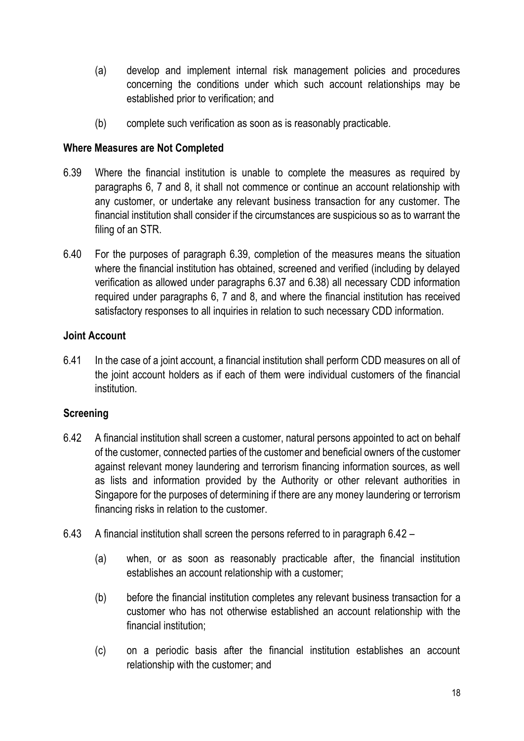- (a) develop and implement internal risk management policies and procedures concerning the conditions under which such account relationships may be established prior to verification; and
- (b) complete such verification as soon as is reasonably practicable.

### **Where Measures are Not Completed**

- 6.39 Where the financial institution is unable to complete the measures as required by paragraphs 6, 7 and 8, it shall not commence or continue an account relationship with any customer, or undertake any relevant business transaction for any customer. The financial institution shall consider if the circumstances are suspicious so as to warrant the filing of an STR.
- 6.40 For the purposes of paragraph 6.39, completion of the measures means the situation where the financial institution has obtained, screened and verified (including by delayed verification as allowed under paragraphs 6.37 and 6.38) all necessary CDD information required under paragraphs 6, 7 and 8, and where the financial institution has received satisfactory responses to all inquiries in relation to such necessary CDD information.

### **Joint Account**

6.41 In the case of a joint account, a financial institution shall perform CDD measures on all of the joint account holders as if each of them were individual customers of the financial institution.

# **Screening**

- 6.42 A financial institution shall screen a customer, natural persons appointed to act on behalf of the customer, connected parties of the customer and beneficial owners of the customer against relevant money laundering and terrorism financing information sources, as well as lists and information provided by the Authority or other relevant authorities in Singapore for the purposes of determining if there are any money laundering or terrorism financing risks in relation to the customer.
- 6.43 A financial institution shall screen the persons referred to in paragraph 6.42
	- (a) when, or as soon as reasonably practicable after, the financial institution establishes an account relationship with a customer;
	- (b) before the financial institution completes any relevant business transaction for a customer who has not otherwise established an account relationship with the financial institution;
	- (c) on a periodic basis after the financial institution establishes an account relationship with the customer; and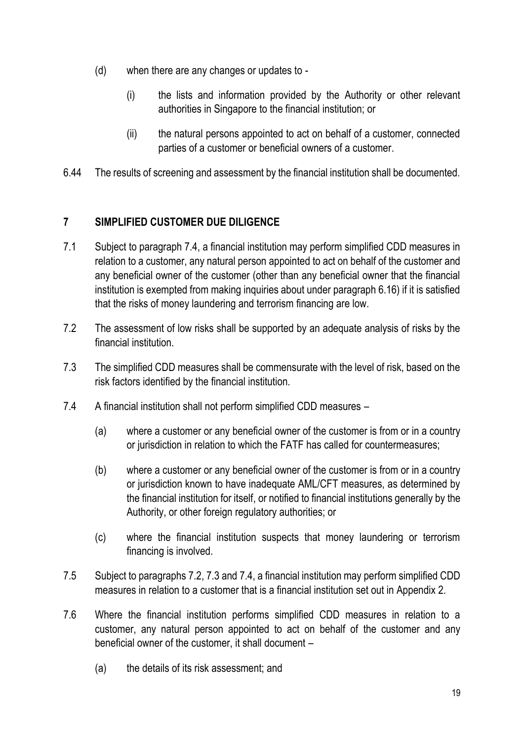- (d) when there are any changes or updates to
	- (i) the lists and information provided by the Authority or other relevant authorities in Singapore to the financial institution; or
	- (ii) the natural persons appointed to act on behalf of a customer, connected parties of a customer or beneficial owners of a customer.
- 6.44 The results of screening and assessment by the financial institution shall be documented.

# **7 SIMPLIFIED CUSTOMER DUE DILIGENCE**

- 7.1 Subject to paragraph 7.4, a financial institution may perform simplified CDD measures in relation to a customer, any natural person appointed to act on behalf of the customer and any beneficial owner of the customer (other than any beneficial owner that the financial institution is exempted from making inquiries about under paragraph 6.16) if it is satisfied that the risks of money laundering and terrorism financing are low.
- 7.2 The assessment of low risks shall be supported by an adequate analysis of risks by the financial institution.
- 7.3 The simplified CDD measures shall be commensurate with the level of risk, based on the risk factors identified by the financial institution.
- 7.4 A financial institution shall not perform simplified CDD measures
	- (a) where a customer or any beneficial owner of the customer is from or in a country or jurisdiction in relation to which the FATF has called for countermeasures;
	- (b) where a customer or any beneficial owner of the customer is from or in a country or jurisdiction known to have inadequate AML/CFT measures, as determined by the financial institution for itself, or notified to financial institutions generally by the Authority, or other foreign regulatory authorities; or
	- (c) where the financial institution suspects that money laundering or terrorism financing is involved.
- 7.5 Subject to paragraphs 7.2, 7.3 and 7.4, a financial institution may perform simplified CDD measures in relation to a customer that is a financial institution set out in Appendix 2.
- 7.6 Where the financial institution performs simplified CDD measures in relation to a customer, any natural person appointed to act on behalf of the customer and any beneficial owner of the customer, it shall document –
	- (a) the details of its risk assessment; and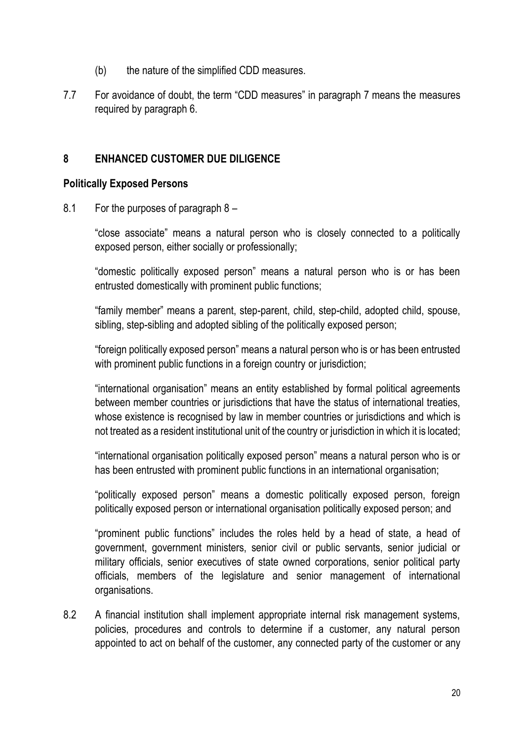- (b) the nature of the simplified CDD measures.
- 7.7 For avoidance of doubt, the term "CDD measures" in paragraph 7 means the measures required by paragraph 6.

#### **8 ENHANCED CUSTOMER DUE DILIGENCE**

#### **Politically Exposed Persons**

8.1 For the purposes of paragraph 8 –

"close associate" means a natural person who is closely connected to a politically exposed person, either socially or professionally;

"domestic politically exposed person" means a natural person who is or has been entrusted domestically with prominent public functions;

"family member" means a parent, step-parent, child, step-child, adopted child, spouse, sibling, step-sibling and adopted sibling of the politically exposed person;

"foreign politically exposed person" means a natural person who is or has been entrusted with prominent public functions in a foreign country or jurisdiction;

"international organisation" means an entity established by formal political agreements between member countries or jurisdictions that have the status of international treaties, whose existence is recognised by law in member countries or jurisdictions and which is not treated as a resident institutional unit of the country or jurisdiction in which it is located;

"international organisation politically exposed person" means a natural person who is or has been entrusted with prominent public functions in an international organisation;

"politically exposed person" means a domestic politically exposed person, foreign politically exposed person or international organisation politically exposed person; and

"prominent public functions" includes the roles held by a head of state, a head of government, government ministers, senior civil or public servants, senior judicial or military officials, senior executives of state owned corporations, senior political party officials, members of the legislature and senior management of international organisations.

8.2 A financial institution shall implement appropriate internal risk management systems, policies, procedures and controls to determine if a customer, any natural person appointed to act on behalf of the customer, any connected party of the customer or any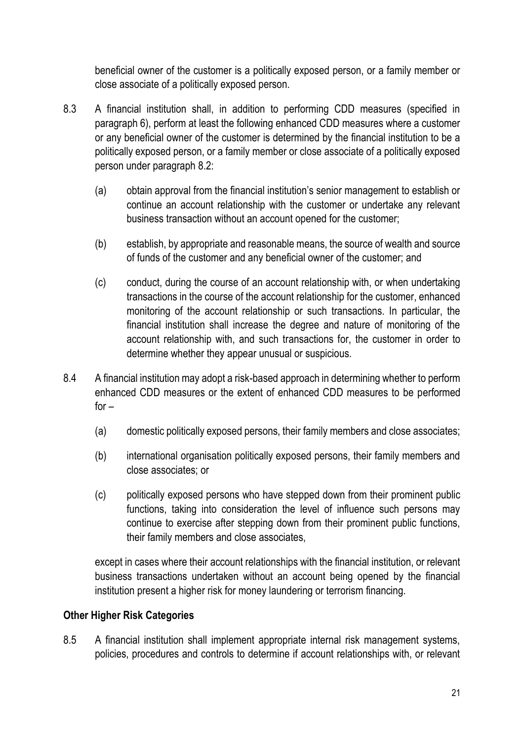beneficial owner of the customer is a politically exposed person, or a family member or close associate of a politically exposed person.

- 8.3 A financial institution shall, in addition to performing CDD measures (specified in paragraph 6), perform at least the following enhanced CDD measures where a customer or any beneficial owner of the customer is determined by the financial institution to be a politically exposed person, or a family member or close associate of a politically exposed person under paragraph 8.2:
	- (a) obtain approval from the financial institution's senior management to establish or continue an account relationship with the customer or undertake any relevant business transaction without an account opened for the customer;
	- (b) establish, by appropriate and reasonable means, the source of wealth and source of funds of the customer and any beneficial owner of the customer; and
	- (c) conduct, during the course of an account relationship with, or when undertaking transactions in the course of the account relationship for the customer, enhanced monitoring of the account relationship or such transactions. In particular, the financial institution shall increase the degree and nature of monitoring of the account relationship with, and such transactions for, the customer in order to determine whether they appear unusual or suspicious.
- 8.4 A financial institution may adopt a risk-based approach in determining whether to perform enhanced CDD measures or the extent of enhanced CDD measures to be performed  $for -$ 
	- (a) domestic politically exposed persons, their family members and close associates;
	- (b) international organisation politically exposed persons, their family members and close associates; or
	- (c) politically exposed persons who have stepped down from their prominent public functions, taking into consideration the level of influence such persons may continue to exercise after stepping down from their prominent public functions, their family members and close associates,

except in cases where their account relationships with the financial institution, or relevant business transactions undertaken without an account being opened by the financial institution present a higher risk for money laundering or terrorism financing.

# **Other Higher Risk Categories**

8.5 A financial institution shall implement appropriate internal risk management systems, policies, procedures and controls to determine if account relationships with, or relevant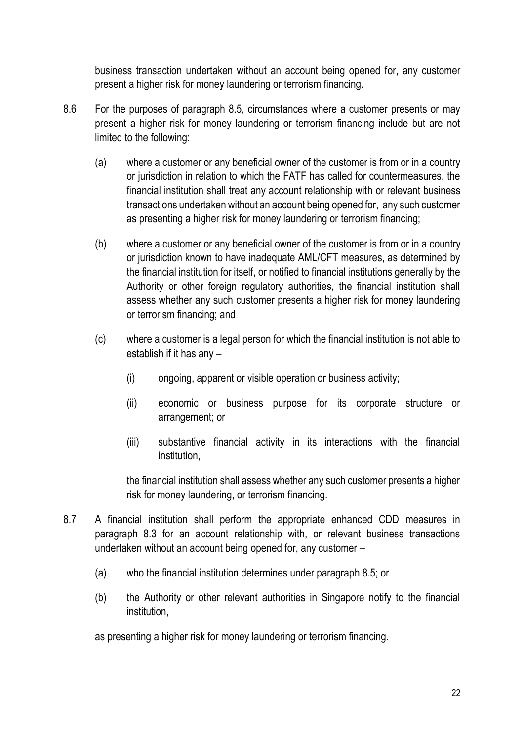business transaction undertaken without an account being opened for, any customer present a higher risk for money laundering or terrorism financing.

- 8.6 For the purposes of paragraph 8.5, circumstances where a customer presents or may present a higher risk for money laundering or terrorism financing include but are not limited to the following:
	- (a) where a customer or any beneficial owner of the customer is from or in a country or jurisdiction in relation to which the FATF has called for countermeasures, the financial institution shall treat any account relationship with or relevant business transactions undertaken without an account being opened for, any such customer as presenting a higher risk for money laundering or terrorism financing;
	- (b) where a customer or any beneficial owner of the customer is from or in a country or jurisdiction known to have inadequate AML/CFT measures, as determined by the financial institution for itself, or notified to financial institutions generally by the Authority or other foreign regulatory authorities, the financial institution shall assess whether any such customer presents a higher risk for money laundering or terrorism financing; and
	- (c) where a customer is a legal person for which the financial institution is not able to establish if it has any –
		- (i) ongoing, apparent or visible operation or business activity;
		- (ii) economic or business purpose for its corporate structure or arrangement; or
		- (iii) substantive financial activity in its interactions with the financial institution,

the financial institution shall assess whether any such customer presents a higher risk for money laundering, or terrorism financing.

- 8.7 A financial institution shall perform the appropriate enhanced CDD measures in paragraph 8.3 for an account relationship with, or relevant business transactions undertaken without an account being opened for, any customer –
	- (a) who the financial institution determines under paragraph 8.5; or
	- (b) the Authority or other relevant authorities in Singapore notify to the financial institution,

as presenting a higher risk for money laundering or terrorism financing.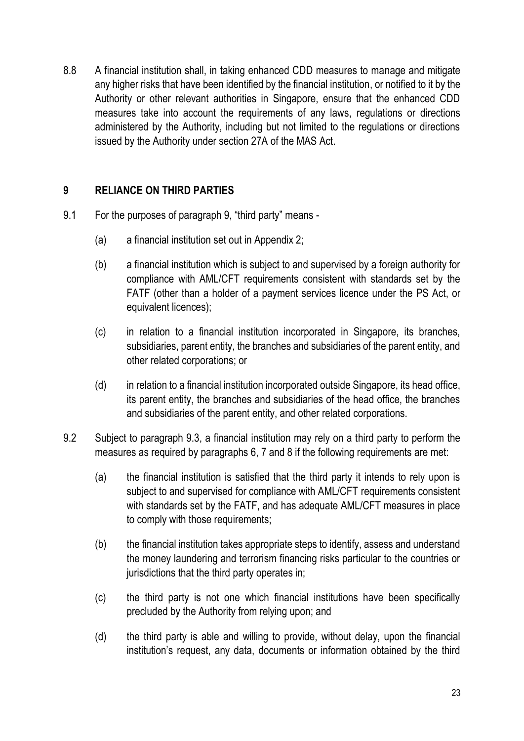8.8 A financial institution shall, in taking enhanced CDD measures to manage and mitigate any higher risks that have been identified by the financial institution, or notified to it by the Authority or other relevant authorities in Singapore, ensure that the enhanced CDD measures take into account the requirements of any laws, regulations or directions administered by the Authority, including but not limited to the regulations or directions issued by the Authority under section 27A of the MAS Act.

# **9 RELIANCE ON THIRD PARTIES**

- 9.1 For the purposes of paragraph 9, "third party" means
	- (a) a financial institution set out in Appendix 2;
	- (b) a financial institution which is subject to and supervised by a foreign authority for compliance with AML/CFT requirements consistent with standards set by the FATF (other than a holder of a payment services licence under the PS Act, or equivalent licences);
	- (c) in relation to a financial institution incorporated in Singapore, its branches, subsidiaries, parent entity, the branches and subsidiaries of the parent entity, and other related corporations; or
	- (d) in relation to a financial institution incorporated outside Singapore, its head office, its parent entity, the branches and subsidiaries of the head office, the branches and subsidiaries of the parent entity, and other related corporations.
- 9.2 Subject to paragraph 9.3, a financial institution may rely on a third party to perform the measures as required by paragraphs 6, 7 and 8 if the following requirements are met:
	- (a) the financial institution is satisfied that the third party it intends to rely upon is subject to and supervised for compliance with AML/CFT requirements consistent with standards set by the FATF, and has adequate AML/CFT measures in place to comply with those requirements;
	- (b) the financial institution takes appropriate steps to identify, assess and understand the money laundering and terrorism financing risks particular to the countries or jurisdictions that the third party operates in;
	- (c) the third party is not one which financial institutions have been specifically precluded by the Authority from relying upon; and
	- (d) the third party is able and willing to provide, without delay, upon the financial institution's request, any data, documents or information obtained by the third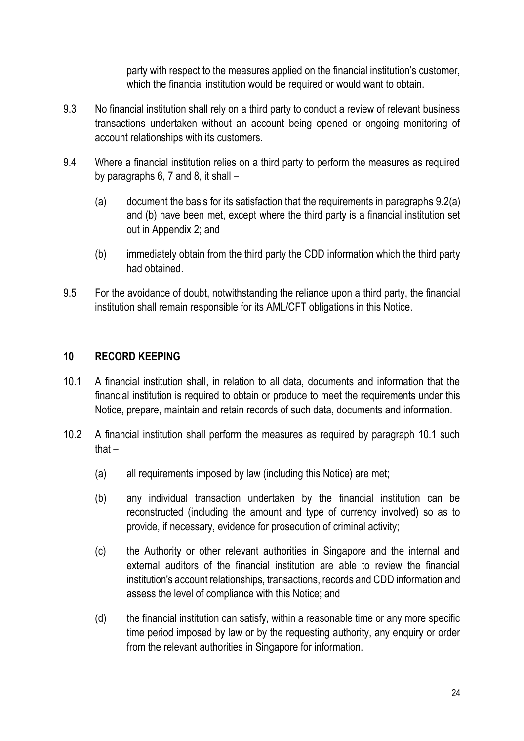party with respect to the measures applied on the financial institution's customer, which the financial institution would be required or would want to obtain.

- 9.3 No financial institution shall rely on a third party to conduct a review of relevant business transactions undertaken without an account being opened or ongoing monitoring of account relationships with its customers.
- 9.4 Where a financial institution relies on a third party to perform the measures as required by paragraphs 6, 7 and 8, it shall –
	- (a) document the basis for its satisfaction that the requirements in paragraphs 9.2(a) and (b) have been met, except where the third party is a financial institution set out in Appendix 2; and
	- (b) immediately obtain from the third party the CDD information which the third party had obtained.
- 9.5 For the avoidance of doubt, notwithstanding the reliance upon a third party, the financial institution shall remain responsible for its AML/CFT obligations in this Notice.

# **10 RECORD KEEPING**

- 10.1 A financial institution shall, in relation to all data, documents and information that the financial institution is required to obtain or produce to meet the requirements under this Notice, prepare, maintain and retain records of such data, documents and information.
- 10.2 A financial institution shall perform the measures as required by paragraph 10.1 such that –
	- (a) all requirements imposed by law (including this Notice) are met;
	- (b) any individual transaction undertaken by the financial institution can be reconstructed (including the amount and type of currency involved) so as to provide, if necessary, evidence for prosecution of criminal activity;
	- (c) the Authority or other relevant authorities in Singapore and the internal and external auditors of the financial institution are able to review the financial institution's account relationships, transactions, records and CDD information and assess the level of compliance with this Notice; and
	- (d) the financial institution can satisfy, within a reasonable time or any more specific time period imposed by law or by the requesting authority, any enquiry or order from the relevant authorities in Singapore for information.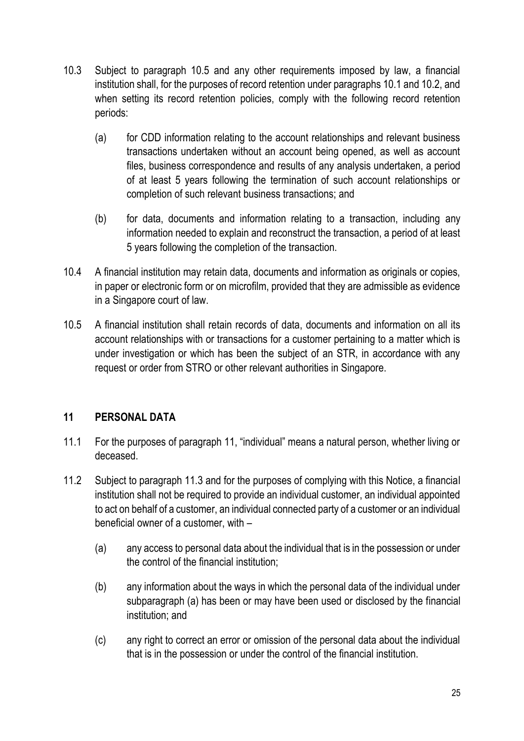- 10.3 Subject to paragraph 10.5 and any other requirements imposed by law, a financial institution shall, for the purposes of record retention under paragraphs 10.1 and 10.2, and when setting its record retention policies, comply with the following record retention periods:
	- (a) for CDD information relating to the account relationships and relevant business transactions undertaken without an account being opened, as well as account files, business correspondence and results of any analysis undertaken, a period of at least 5 years following the termination of such account relationships or completion of such relevant business transactions; and
	- (b) for data, documents and information relating to a transaction, including any information needed to explain and reconstruct the transaction, a period of at least 5 years following the completion of the transaction.
- 10.4 A financial institution may retain data, documents and information as originals or copies, in paper or electronic form or on microfilm, provided that they are admissible as evidence in a Singapore court of law.
- 10.5 A financial institution shall retain records of data, documents and information on all its account relationships with or transactions for a customer pertaining to a matter which is under investigation or which has been the subject of an STR, in accordance with any request or order from STRO or other relevant authorities in Singapore.

# **11 PERSONAL DATA**

- 11.1 For the purposes of paragraph 11, "individual" means a natural person, whether living or deceased.
- 11.2 Subject to paragraph 11.3 and for the purposes of complying with this Notice, a financial institution shall not be required to provide an individual customer, an individual appointed to act on behalf of a customer, an individual connected party of a customer or an individual beneficial owner of a customer, with –
	- (a) any access to personal data about the individual that is in the possession or under the control of the financial institution;
	- (b) any information about the ways in which the personal data of the individual under subparagraph (a) has been or may have been used or disclosed by the financial institution; and
	- (c) any right to correct an error or omission of the personal data about the individual that is in the possession or under the control of the financial institution.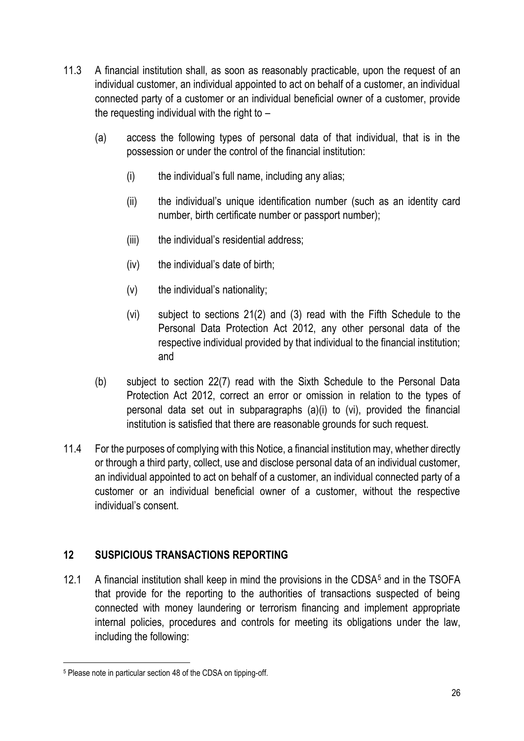- 11.3 A financial institution shall, as soon as reasonably practicable, upon the request of an individual customer, an individual appointed to act on behalf of a customer, an individual connected party of a customer or an individual beneficial owner of a customer, provide the requesting individual with the right to –
	- (a) access the following types of personal data of that individual, that is in the possession or under the control of the financial institution:
		- (i) the individual's full name, including any alias;
		- (ii) the individual's unique identification number (such as an identity card number, birth certificate number or passport number);
		- (iii) the individual's residential address;
		- (iv) the individual's date of birth;
		- (v) the individual's nationality;
		- (vi) subject to sections 21(2) and (3) read with the Fifth Schedule to the Personal Data Protection Act 2012, any other personal data of the respective individual provided by that individual to the financial institution; and
	- (b) subject to section 22(7) read with the Sixth Schedule to the Personal Data Protection Act 2012, correct an error or omission in relation to the types of personal data set out in subparagraphs (a)(i) to (vi), provided the financial institution is satisfied that there are reasonable grounds for such request.
- 11.4 For the purposes of complying with this Notice, a financial institution may, whether directly or through a third party, collect, use and disclose personal data of an individual customer, an individual appointed to act on behalf of a customer, an individual connected party of a customer or an individual beneficial owner of a customer, without the respective individual's consent.

# **12 SUSPICIOUS TRANSACTIONS REPORTING**

12.1 A financial institution shall keep in mind the provisions in the CDSA $5$  and in the TSOFA that provide for the reporting to the authorities of transactions suspected of being connected with money laundering or terrorism financing and implement appropriate internal policies, procedures and controls for meeting its obligations under the law, including the following:

<sup>5</sup> Please note in particular section 48 of the CDSA on tipping-off.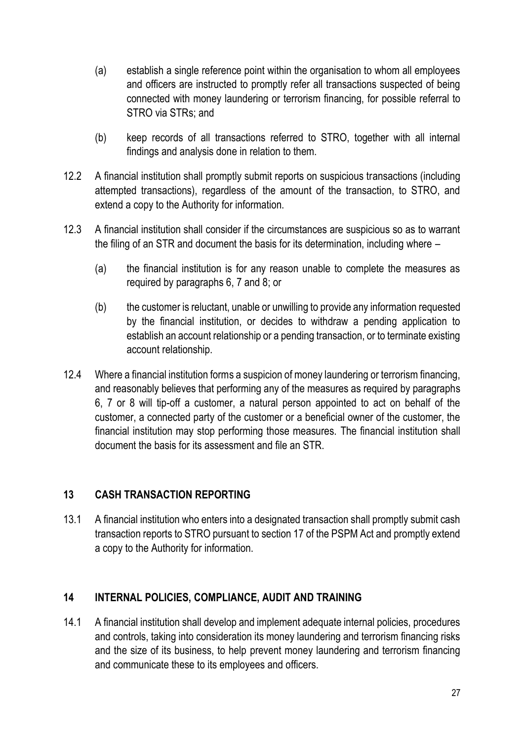- (a) establish a single reference point within the organisation to whom all employees and officers are instructed to promptly refer all transactions suspected of being connected with money laundering or terrorism financing, for possible referral to STRO via STRs; and
- (b) keep records of all transactions referred to STRO, together with all internal findings and analysis done in relation to them.
- 12.2 A financial institution shall promptly submit reports on suspicious transactions (including attempted transactions), regardless of the amount of the transaction, to STRO, and extend a copy to the Authority for information.
- 12.3 A financial institution shall consider if the circumstances are suspicious so as to warrant the filing of an STR and document the basis for its determination, including where –
	- (a) the financial institution is for any reason unable to complete the measures as required by paragraphs 6, 7 and 8; or
	- (b) the customer is reluctant, unable or unwilling to provide any information requested by the financial institution, or decides to withdraw a pending application to establish an account relationship or a pending transaction, or to terminate existing account relationship.
- 12.4 Where a financial institution forms a suspicion of money laundering or terrorism financing, and reasonably believes that performing any of the measures as required by paragraphs 6, 7 or 8 will tip-off a customer, a natural person appointed to act on behalf of the customer, a connected party of the customer or a beneficial owner of the customer, the financial institution may stop performing those measures. The financial institution shall document the basis for its assessment and file an STR.

# **13 CASH TRANSACTION REPORTING**

13.1 A financial institution who enters into a designated transaction shall promptly submit cash transaction reports to STRO pursuant to section 17 of the PSPM Act and promptly extend a copy to the Authority for information.

# **14 INTERNAL POLICIES, COMPLIANCE, AUDIT AND TRAINING**

14.1 A financial institution shall develop and implement adequate internal policies, procedures and controls, taking into consideration its money laundering and terrorism financing risks and the size of its business, to help prevent money laundering and terrorism financing and communicate these to its employees and officers.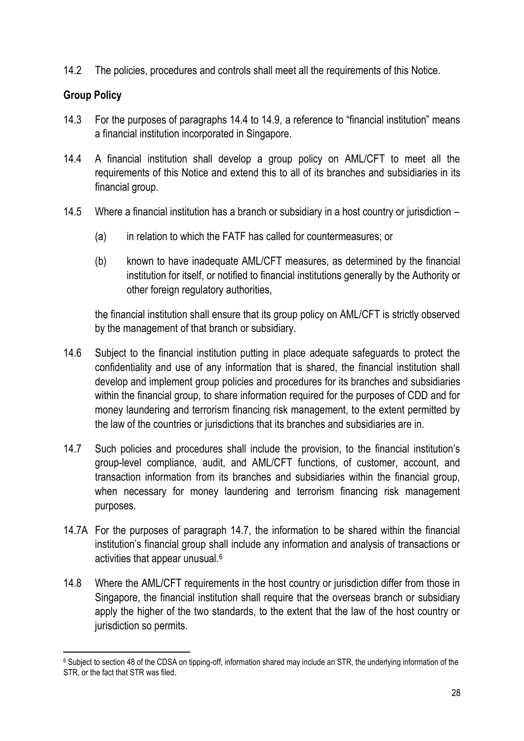14.2 The policies, procedures and controls shall meet all the requirements of this Notice.

# **Group Policy**

- 14.3 For the purposes of paragraphs 14.4 to 14.9, a reference to "financial institution" means a financial institution incorporated in Singapore.
- 14.4 A financial institution shall develop a group policy on AML/CFT to meet all the requirements of this Notice and extend this to all of its branches and subsidiaries in its financial group.
- 14.5 Where a financial institution has a branch or subsidiary in a host country or jurisdiction
	- (a) in relation to which the FATF has called for countermeasures; or
	- (b) known to have inadequate AML/CFT measures, as determined by the financial institution for itself, or notified to financial institutions generally by the Authority or other foreign regulatory authorities,

the financial institution shall ensure that its group policy on AML/CFT is strictly observed by the management of that branch or subsidiary.

- 14.6 Subject to the financial institution putting in place adequate safeguards to protect the confidentiality and use of any information that is shared, the financial institution shall develop and implement group policies and procedures for its branches and subsidiaries within the financial group, to share information required for the purposes of CDD and for money laundering and terrorism financing risk management, to the extent permitted by the law of the countries or jurisdictions that its branches and subsidiaries are in.
- 14.7 Such policies and procedures shall include the provision, to the financial institution's group-level compliance, audit, and AML/CFT functions, of customer, account, and transaction information from its branches and subsidiaries within the financial group, when necessary for money laundering and terrorism financing risk management purposes.
- 14.7A For the purposes of paragraph 14.7, the information to be shared within the financial institution's financial group shall include any information and analysis of transactions or activities that appear unusual.<sup>6</sup>
- 14.8 Where the AML/CFT requirements in the host country or jurisdiction differ from those in Singapore, the financial institution shall require that the overseas branch or subsidiary apply the higher of the two standards, to the extent that the law of the host country or jurisdiction so permits.

<sup>&</sup>lt;sup>6</sup> Subject to section 48 of the CDSA on tipping-off, information shared may include an STR, the underlying information of the STR, or the fact that STR was filed.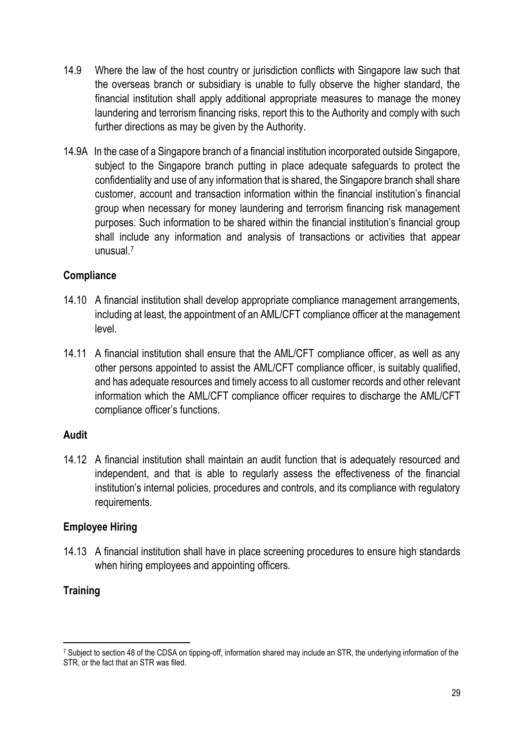- 14.9 Where the law of the host country or jurisdiction conflicts with Singapore law such that the overseas branch or subsidiary is unable to fully observe the higher standard, the financial institution shall apply additional appropriate measures to manage the money laundering and terrorism financing risks, report this to the Authority and comply with such further directions as may be given by the Authority.
- 14.9A In the case of a Singapore branch of a financial institution incorporated outside Singapore, subject to the Singapore branch putting in place adequate safeguards to protect the confidentiality and use of any information that is shared, the Singapore branch shall share customer, account and transaction information within the financial institution's financial group when necessary for money laundering and terrorism financing risk management purposes. Such information to be shared within the financial institution's financial group shall include any information and analysis of transactions or activities that appear unusual.<sup>7</sup>

# **Compliance**

- 14.10 A financial institution shall develop appropriate compliance management arrangements, including at least, the appointment of an AML/CFT compliance officer at the management level.
- 14.11 A financial institution shall ensure that the AML/CFT compliance officer, as well as any other persons appointed to assist the AML/CFT compliance officer, is suitably qualified, and has adequate resources and timely access to all customer records and other relevant information which the AML/CFT compliance officer requires to discharge the AML/CFT compliance officer's functions.

#### **Audit**

14.12 A financial institution shall maintain an audit function that is adequately resourced and independent, and that is able to regularly assess the effectiveness of the financial institution's internal policies, procedures and controls, and its compliance with regulatory requirements.

# **Employee Hiring**

14.13 A financial institution shall have in place screening procedures to ensure high standards when hiring employees and appointing officers.

# **Training**

<sup>7</sup> Subject to section 48 of the CDSA on tipping-off, information shared may include an STR, the underlying information of the STR, or the fact that an STR was filed.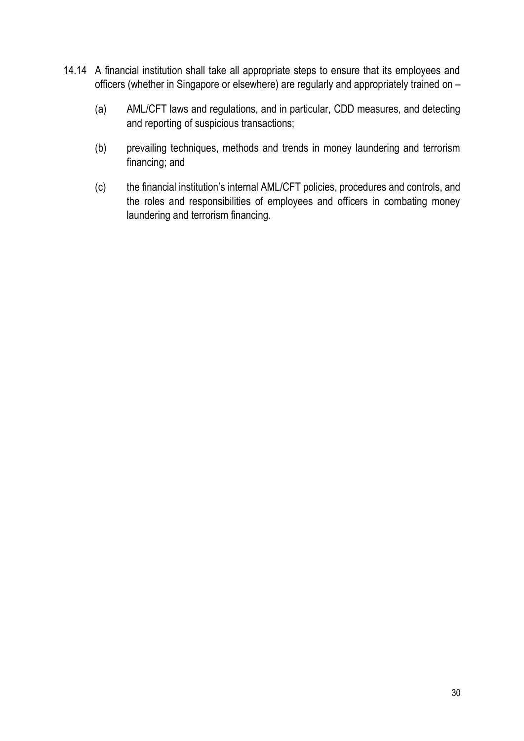- 14.14 A financial institution shall take all appropriate steps to ensure that its employees and officers (whether in Singapore or elsewhere) are regularly and appropriately trained on –
	- (a) AML/CFT laws and regulations, and in particular, CDD measures, and detecting and reporting of suspicious transactions;
	- (b) prevailing techniques, methods and trends in money laundering and terrorism financing; and
	- (c) the financial institution's internal AML/CFT policies, procedures and controls, and the roles and responsibilities of employees and officers in combating money laundering and terrorism financing.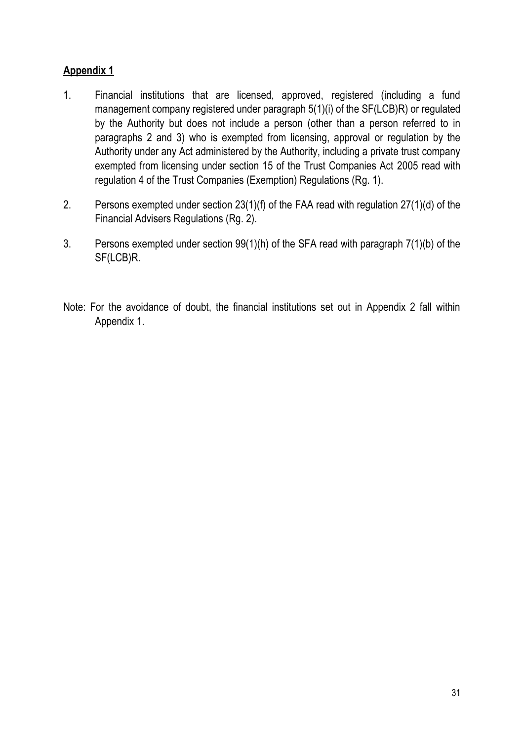# **Appendix 1**

- 1. Financial institutions that are licensed, approved, registered (including a fund management company registered under paragraph 5(1)(i) of the SF(LCB)R) or regulated by the Authority but does not include a person (other than a person referred to in paragraphs 2 and 3) who is exempted from licensing, approval or regulation by the Authority under any Act administered by the Authority, including a private trust company exempted from licensing under section 15 of the Trust Companies Act 2005 read with regulation 4 of the Trust Companies (Exemption) Regulations (Rg. 1).
- 2. Persons exempted under section 23(1)(f) of the FAA read with regulation 27(1)(d) of the Financial Advisers Regulations (Rg. 2).
- 3. Persons exempted under section 99(1)(h) of the SFA read with paragraph 7(1)(b) of the SF(LCB)R.
- Note: For the avoidance of doubt, the financial institutions set out in Appendix 2 fall within Appendix 1.